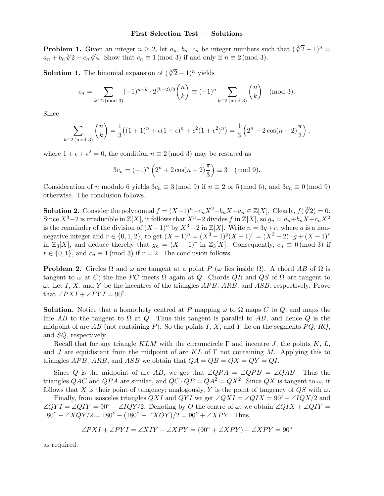## First Selection Test — Solutions

**Problem 1.** Given an integer  $n \geq 2$ , let  $a_n$ ,  $b_n$ ,  $c_n$  be integer numbers such that  $(\sqrt[3]{2} - 1)^n =$  $a_n + b_n \sqrt[3]{2} + c_n \sqrt[3]{4}$ . Show that  $c_n \equiv 1 \pmod{3}$  if and only if  $n \equiv 2 \pmod{3}$ .

**Solution 1.** The binomial expansion of  $(\sqrt[3]{2} - 1)^n$  yields

$$
c_n = \sum_{k \equiv 2 \pmod{3}} (-1)^{n-k} \cdot 2^{(k-2)/3} \binom{n}{k} \equiv (-1)^n \sum_{k \equiv 2 \pmod{3}} \binom{n}{k} \pmod{3}.
$$

Since

$$
\sum_{k\equiv 2\,(\text{mod }3)} \binom{n}{k} = \frac{1}{3}\big((1+1)^n + \epsilon(1+\epsilon)^n + \epsilon^2(1+\epsilon^2)^n\big) = \frac{1}{3}\left(2^n + 2\cos(n+2)\frac{\pi}{3}\right),
$$

where  $1 + \epsilon + \epsilon^2 = 0$ , the condition  $n \equiv 2 \pmod{3}$  may be restated as

$$
3c_n = (-1)^n \left( 2^n + 2\cos(n+2)\frac{\pi}{3} \right) \equiv 3 \pmod{9}.
$$

Consideration of n modulo 6 yields  $3c_n \equiv 3 \pmod{9}$  if  $n \equiv 2$  or 5 (mod 6), and  $3c_n \equiv 0 \pmod{9}$ otherwise. The conclusion follows.

**Solution 2.** Consider the polynomial  $f = (X-1)^n - c_n X^2 - b_n X - a_n \in \mathbb{Z}[X]$ . Clearly,  $f(\sqrt[3]{2}) = 0$ . Since  $X^3-2$  is irreducible in  $\mathbb{Z}[X]$ , it follows that  $X^3-2$  divides f in  $\mathbb{Z}[X]$ , so  $g_n = a_n+b_nX+c_nX^2$ is the remainder of the division of  $(X-1)^n$  by  $X^3-2$  in  $\mathbb{Z}[X]$ . Write  $n=3q+r$ , where q is a nonnegative integer and  $r \in \{0, 1, 2\}$ , to get  $(X - 1)^n = (X^3 - 1)^q (X - 1)^r = (X^3 - 2) \cdot g + (X - 1)^r$ in  $\mathbb{Z}_3[X]$ , and deduce thereby that  $g_n = (X - 1)^r$  in  $\mathbb{Z}_3[X]$ . Consequently,  $c_n \equiv 0 \pmod{3}$  if  $r \in \{0, 1\}$ , and  $c_n \equiv 1 \pmod{3}$  if  $r = 2$ . The conclusion follows.

**Problem 2.** Circles  $\Omega$  and  $\omega$  are tangent at a point P ( $\omega$  lies inside  $\Omega$ ). A chord AB of  $\Omega$  is tangent to  $\omega$  at C; the line PC meets  $\Omega$  again at Q. Chords QR and QS of  $\Omega$  are tangent to  $\omega$ . Let I, X, and Y be the incentres of the triangles APB, ARB, and ASB, respectively. Prove that  $\angle PXI + \angle PYI = 90^\circ$ .

**Solution.** Notice that a homothety centred at P mapping  $\omega$  to  $\Omega$  maps C to Q, and maps the line AB to the tangent to  $\Omega$  at Q. Thus this tangent is parallel to AB, and hence Q is the midpoint of arc AB (not containing P). So the points I, X, and Y lie on the segments  $PQ$ ,  $RQ$ , and SQ, respectively.

Recall that for any triangle KLM with the circumcircle  $\Gamma$  and incentre J, the points K, L, and J are equidistant from the midpoint of arc KL of  $\Gamma$  not containing M. Applying this to triangles APB, ARB, and ASB we obtain that  $QA = QB = QX = QY = QI$ .

Since Q is the midpoint of arc AB, we get that  $\angle QPA = \angle QPB = \angle QAB$ . Thus the triangles QAC and QPA are similar, and  $QC \cdot QP = QA^2 = QX^2$ . Since QX is tangent to  $\omega$ , it follows that X is their point of tangency; analogously, Y is the point of tangency of  $QS$  with  $\omega$ .

Finally, from isosceles triangles  $QXI$  and  $QYI$  we get  $\angle QXI = \angle QIX = 90^{\circ} - \angle IQX/2$  and  $\angle QYI = \angle QIY = 90^{\circ} - \angle IQY/2$ . Denoting by O the centre of  $\omega$ , we obtain  $\angle QIX + \angle QIY =$  $180^{\circ} - \angle XQY/2 = 180^{\circ} - (180^{\circ} - \angle XOY)/2 = 90^{\circ} + \angle XPY$ . Thus,

$$
\angle PXI + \angle PYI = \angle XIV - \angle XPY = (90^{\circ} + \angle XPY) - \angle XPY = 90^{\circ}
$$

as required.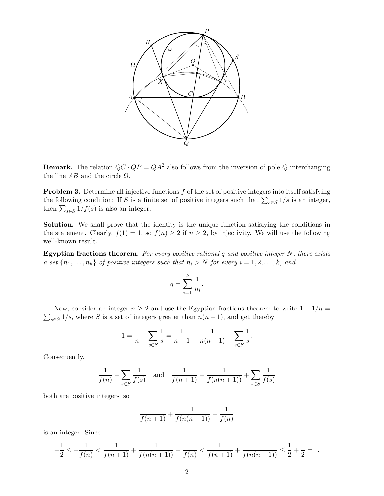

**Remark.** The relation  $QC \cdot QP = QA^2$  also follows from the inversion of pole Q interchanging the line  $AB$  and the circle  $\Omega$ ,

**Problem 3.** Determine all injective functions  $f$  of the set of positive integers into itself satisfying the following condition: If S is a finite set of positive integers such that  $\sum_{s\in S} 1/s$  is an integer, then  $\sum_{s \in S} 1/f(s)$  is also an integer.

Solution. We shall prove that the identity is the unique function satisfying the conditions in the statement. Clearly,  $f(1) = 1$ , so  $f(n) \geq 2$  if  $n \geq 2$ , by injectivity. We will use the following well-known result.

Egyptian fractions theorem. For every positive rational  $q$  and positive integer  $N$ , there exists a set  $\{n_1, \ldots, n_k\}$  of positive integers such that  $n_i > N$  for every  $i = 1, 2, \ldots, k$ , and

$$
q = \sum_{i=1}^{k} \frac{1}{n_i}.
$$

 $\sum_{s \in S} 1/s$ , where S is a set of integers greater than  $n(n + 1)$ , and get thereby Now, consider an integer  $n \geq 2$  and use the Egyptian fractions theorem to write  $1 - 1/n =$ 

$$
1 = \frac{1}{n} + \sum_{s \in S} \frac{1}{s} = \frac{1}{n+1} + \frac{1}{n(n+1)} + \sum_{s \in S} \frac{1}{s}.
$$

Consequently,

$$
\frac{1}{f(n)} + \sum_{s \in S} \frac{1}{f(s)} \quad \text{and} \quad \frac{1}{f(n+1)} + \frac{1}{f(n(n+1))} + \sum_{s \in S} \frac{1}{f(s)}
$$

both are positive integers, so

$$
\frac{1}{f(n+1)} + \frac{1}{f(n(n+1))} - \frac{1}{f(n)}
$$

is an integer. Since

$$
-\frac{1}{2} \le -\frac{1}{f(n)} < \frac{1}{f(n+1)} + \frac{1}{f(n(n+1))} - \frac{1}{f(n)} < \frac{1}{f(n+1)} + \frac{1}{f(n(n+1))} \le \frac{1}{2} + \frac{1}{2} = 1,
$$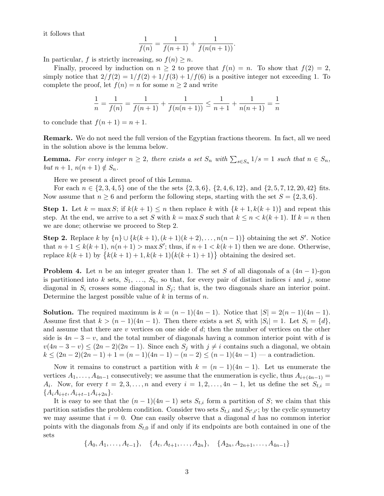it follows that

$$
\frac{1}{f(n)} = \frac{1}{f(n+1)} + \frac{1}{f(n(n+1))}.
$$

In particular, f is strictly increasing, so  $f(n) \geq n$ .

Finally, proceed by induction on  $n \geq 2$  to prove that  $f(n) = n$ . To show that  $f(2) = 2$ , simply notice that  $2/f(2) = 1/f(2) + 1/f(3) + 1/f(6)$  is a positive integer not exceeding 1. To complete the proof, let  $f(n) = n$  for some  $n \geq 2$  and write

$$
\frac{1}{n} = \frac{1}{f(n)} = \frac{1}{f(n+1)} + \frac{1}{f(n(n+1))} \le \frac{1}{n+1} + \frac{1}{n(n+1)} = \frac{1}{n}
$$

to conclude that  $f(n+1) = n+1$ .

Remark. We do not need the full version of the Egyptian fractions theorem. In fact, all we need in the solution above is the lemma below.

**Lemma.** For every integer  $n \geq 2$ , there exists a set  $S_n$  with  $\sum_{s \in S_n} 1/s = 1$  such that  $n \in S_n$ , but  $n+1$ ,  $n(n+1) \notin S_n$ .

Here we present a direct proof of this Lemma.

For each  $n \in \{2, 3, 4, 5\}$  one of the the sets  $\{2, 3, 6\}, \{2, 4, 6, 12\}, \text{ and } \{2, 5, 7, 12, 20, 42\}$  fits. Now assume that  $n \geq 6$  and perform the following steps, starting with the set  $S = \{2, 3, 6\}$ .

**Step 1.** Let  $k = \max S$ ; if  $k(k+1) \leq n$  then replace k with  $\{k+1, k(k+1)\}$  and repeat this step. At the end, we arrive to a set S with  $k = \max S$  such that  $k \leq n < k(k+1)$ . If  $k = n$  then we are done; otherwise we proceed to Step 2.

Step 2. Replace k by  $\{n\} \cup \{k(k+1), (k+1)(k+2), \ldots, n(n-1)\}$  obtaining the set S'. Notice that  $n+1 \leq k(k+1)$ ,  $n(n+1) > \max S'$ ; thus, if  $n+1 < k(k+1)$  then we are done. Otherwise, replace  $k(k + 1)$  by  ${k(k + 1) + 1, k(k + 1)(k(k + 1) + 1)}$  obtaining the desired set.

**Problem 4.** Let n be an integer greater than 1. The set S of all diagonals of a  $(4n - 1)$ -gon is partitioned into k sets,  $S_1, \ldots, S_k$ , so that, for every pair of distinct indices i and j, some diagonal in  $S_i$  crosses some diagonal in  $S_j$ ; that is, the two diagonals share an interior point. Determine the largest possible value of  $k$  in terms of  $n$ .

**Solution.** The required maximum is  $k = (n-1)(4n-1)$ . Notice that  $|S| = 2(n-1)(4n-1)$ . Assume first that  $k > (n-1)(4n-1)$ . Then there exists a set  $S_i$  with  $|S_i| = 1$ . Let  $S_i = \{d\},$ and assume that there are  $v$  vertices on one side of  $d$ ; then the number of vertices on the other side is  $4n-3-v$ , and the total number of diagonals having a common interior point with d is  $v(4n-3-v) \leq (2n-2)(2n-1)$ . Since each  $S_j$  with  $j \neq i$  contains such a diagonal, we obtain  $k \leq (2n-2)(2n-1)+1 = (n-1)(4n-1)-(n-2) \leq (n-1)(4n-1)$  – a contradiction.

Now it remains to construct a partition with  $k = (n-1)(4n-1)$ . Let us enumerate the vertices  $A_1, \ldots, A_{4n-1}$  consecutively; we assume that the enumeration is cyclic, thus  $A_{i+(4n-1)} =$  $A_i$ . Now, for every  $t = 2, 3, \ldots, n$  and every  $i = 1, 2, \ldots, 4n - 1$ , let us define the set  $S_{t,i} =$  ${A_iA_{i+t}, A_{i+t-1}A_{i+2n}}.$ 

It is easy to see that the  $(n-1)(4n-1)$  sets  $S_{t,i}$  form a partition of S; we claim that this partition satisfies the problem condition. Consider two sets  $S_{t,i}$  and  $S_{t',i'}$ ; by the cyclic symmetry we may assume that  $i = 0$ . One can easily observe that a diagonal d has no common interior points with the diagonals from  $S_{t,0}$  if and only if its endpoints are both contained in one of the sets

$$
\{A_0, A_1, \ldots, A_{t-1}\}, \{A_t, A_{t+1}, \ldots, A_{2n}\}, \{A_{2n}, A_{2n+1}, \ldots, A_{4n-1}\}\
$$